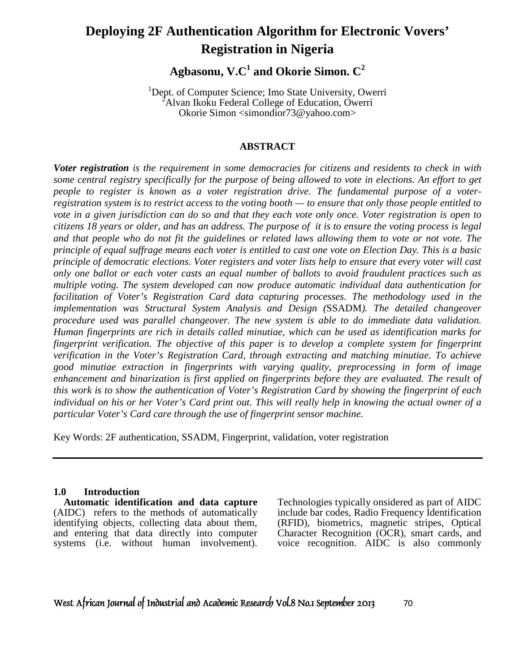# **Deploying 2F Authentication Algorithm for Electronic Vovers' Registration in Nigeria**

**Agbasonu, V.C<sup>1</sup> and Okorie Simon. C<sup>2</sup>**

<sup>1</sup>Dept. of Computer Science; Imo State University, Owerri <sup>2</sup>Alvan Ikoku Federal College of Education, Owerri Okorie Simon <simondior73@yahoo.com>

#### **ABSTRACT**

*Voter registration is the requirement in some democracies for citizens and residents to check in with some central registry specifically for the purpose of being allowed to vote in elections. An effort to get people to register is known as a voter registration drive. The fundamental purpose of a voterregistration system is to restrict access to the voting booth — to ensure that only those people entitled to vote in a given jurisdiction can do so and that they each vote only once. Voter registration is open to citizens 18 years or older, and has an address. The purpose of it is to ensure the voting process is legal and that people who do not fit the guidelines or related laws allowing them to vote or not vote. The principle of equal suffrage means each voter is entitled to cast one vote on Election Day. This is a basic principle of democratic elections. Voter registers and voter lists help to ensure that every voter will cast only one ballot or each voter casts an equal number of ballots to avoid fraudulent practices such as multiple voting. The system developed can now produce automatic individual data authentication for facilitation of Voter's Registration Card data capturing processes. The methodology used in the implementation was Structural System Analysis and Design (*SSADM*). The detailed changeover procedure used was parallel changeover. The new system is able to do immediate data validation. Human fingerprints are rich in details called minutiae, which can be used as identification marks for fingerprint verification. The objective of this paper is to develop a complete system for fingerprint verification in the Voter's Registration Card, through extracting and matching minutiae. To achieve good minutiae extraction in fingerprints with varying quality, preprocessing in form of image enhancement and binarization is first applied on fingerprints before they are evaluated. The result of this work is to show the authentication of Voter's Registration Card by showing the fingerprint of each individual on his or her Voter's Card print out. This will really help in knowing the actual owner of a particular Voter's Card care through the use of fingerprint sensor machine.* 

Key Words: 2F authentication, SSADM, Fingerprint, validation, voter registration

#### **1.0 Introduction**

 **Automatic identification and data capture** (AIDC) refers to the methods of automatically identifying objects, collecting data about them, and entering that data directly into computer systems (i.e. without human involvement). Technologies typically onsidered as part of AIDC include bar codes, Radio Frequency Identification (RFID), biometrics, magnetic stripes, Optical Character Recognition (OCR), smart cards, and voice recognition. AIDC is also commonly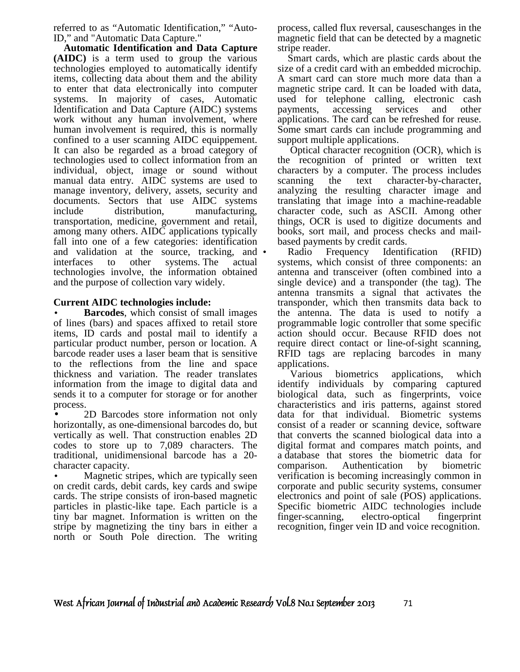referred to as "Automatic Identification," "Auto-ID," and "Automatic Data Capture."

 **Automatic Identification and Data Capture (AIDC)** is a term used to group the various technologies employed to automatically identify items, collecting data about them and the ability to enter that data electronically into computer systems. In majority of cases, Automatic Identification and Data Capture (AIDC) systems work without any human involvement, where human involvement is required, this is normally confined to a user scanning AIDC equippement. It can also be regarded as a broad category of technologies used to collect information from an individual, object, image or sound without manual data entry. AIDC systems are used to manage inventory, delivery, assets, security and documents. Sectors that use AIDC systems include distribution, manufacturing, transportation, medicine, government and retail, among many others. AIDC applications typically fall into one of a few categories: identification and validation at the source, tracking, and • interfaces to other systems. The actual technologies involve, the information obtained and the purpose of collection vary widely.

#### **Current AIDC technologies include:**

**Barcodes**, which consist of small images of lines (bars) and spaces affixed to retail store items, ID cards and postal mail to identify a particular product number, person or location. A barcode reader uses a laser beam that is sensitive to the reflections from the line and space thickness and variation. The reader translates information from the image to digital data and sends it to a computer for storage or for another process.

• 2D Barcodes store information not only horizontally, as one-dimensional barcodes do, but vertically as well. That construction enables 2D codes to store up to 7,089 characters. The traditional, unidimensional barcode has a 20 character capacity.

Magnetic stripes, which are typically seen on credit cards, debit cards, key cards and swipe cards. The stripe consists of iron-based magnetic particles in plastic-like tape. Each particle is a tiny bar magnet. Information is written on the stripe by magnetizing the tiny bars in either a north or South Pole direction. The writing process, called flux reversal, causeschanges in the magnetic field that can be detected by a magnetic stripe reader.

 Smart cards, which are plastic cards about the size of a credit card with an embedded microchip. A smart card can store much more data than a magnetic stripe card. It can be loaded with data, used for telephone calling, electronic cash payments, accessing services and other applications. The card can be refreshed for reuse. Some smart cards can include programming and support multiple applications.

 Optical character recognition (OCR), which is the recognition of printed or written text characters by a computer. The process includes scanning the text character-by-character, analyzing the resulting character image and translating that image into a machine-readable character code, such as ASCII. Among other things, OCR is used to digitize documents and books, sort mail, and process checks and mailbased payments by credit cards.

Radio Frequency Identification (RFID) systems, which consist of three components: an antenna and transceiver (often combined into a single device) and a transponder (the tag). The antenna transmits a signal that activates the transponder, which then transmits data back to the antenna. The data is used to notify a programmable logic controller that some specific action should occur. Because RFID does not require direct contact or line-of-sight scanning, RFID tags are replacing barcodes in many applications.

 Various biometrics applications, which identify individuals by comparing captured biological data, such as fingerprints, voice characteristics and iris patterns, against stored data for that individual. Biometric systems consist of a reader or scanning device, software that converts the scanned biological data into a digital format and compares match points, and a database that stores the biometric data for comparison. Authentication by biometric verification is becoming increasingly common in corporate and public security systems, consumer electronics and point of sale (POS) applications. Specific biometric AIDC technologies include finger-scanning, electro-optical fingerprint recognition, finger vein ID and voice recognition.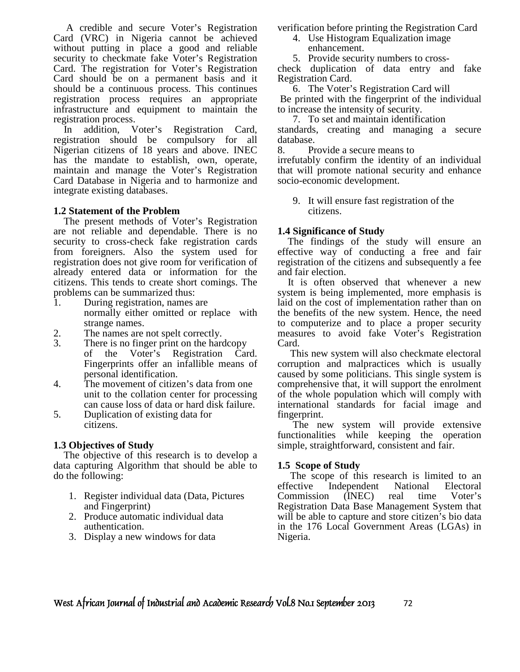A credible and secure Voter's Registration Card (VRC) in Nigeria cannot be achieved without putting in place a good and reliable security to checkmate fake Voter's Registration Card. The registration for Voter's Registration Card should be on a permanent basis and it should be a continuous process. This continues registration process requires an appropriate infrastructure and equipment to maintain the registration process.

 In addition, Voter's Registration Card, registration should be compulsory for all Nigerian citizens of 18 years and above. INEC has the mandate to establish, own, operate, maintain and manage the Voter's Registration Card Database in Nigeria and to harmonize and integrate existing databases.

#### **1.2 Statement of the Problem**

 The present methods of Voter's Registration are not reliable and dependable. There is no security to cross-check fake registration cards from foreigners. Also the system used for registration does not give room for verification of already entered data or information for the citizens. This tends to create short comings. The problems can be summarized thus:

- 1. During registration, names are normally either omitted or replace with strange names.
- 2. The names are not spelt correctly.
- 3. There is no finger print on the hardcopy of the Voter's Registration Card. Fingerprints offer an infallible means of personal identification.
- 4. The movement of citizen's data from one unit to the collation center for processing can cause loss of data or hard disk failure.
- 5. Duplication of existing data for citizens.

## **1.3 Objectives of Study**

 The objective of this research is to develop a data capturing Algorithm that should be able to do the following:

- 1. Register individual data (Data, Pictures and Fingerprint)
- 2. Produce automatic individual data authentication.
- 3. Display a new windows for data

verification before printing the Registration Card

- 4. Use Histogram Equalization image enhancement.
- 5. Provide security numbers to cross-

check duplication of data entry and fake Registration Card.

6. The Voter's Registration Card will Be printed with the fingerprint of the individual to increase the intensity of security.

7. To set and maintain identification standards, creating and managing a secure database.

8. Provide a secure means to

irrefutably confirm the identity of an individual that will promote national security and enhance socio-economic development.

9. It will ensure fast registration of the citizens.

## **1.4 Significance of Study**

 The findings of the study will ensure an effective way of conducting a free and fair registration of the citizens and subsequently a fee and fair election.

 It is often observed that whenever a new system is being implemented, more emphasis is laid on the cost of implementation rather than on the benefits of the new system. Hence, the need to computerize and to place a proper security measures to avoid fake Voter's Registration Card.

 This new system will also checkmate electoral corruption and malpractices which is usually caused by some politicians. This single system is comprehensive that, it will support the enrolment of the whole population which will comply with international standards for facial image and fingerprint.

 The new system will provide extensive functionalities while keeping the operation simple, straightforward, consistent and fair.

#### **1.5 Scope of Study**

 The scope of this research is limited to an effective Independent National Electoral Commission (INEC) real time Voter's Registration Data Base Management System that will be able to capture and store citizen's bio data in the 176 Local Government Areas (LGAs) in Nigeria.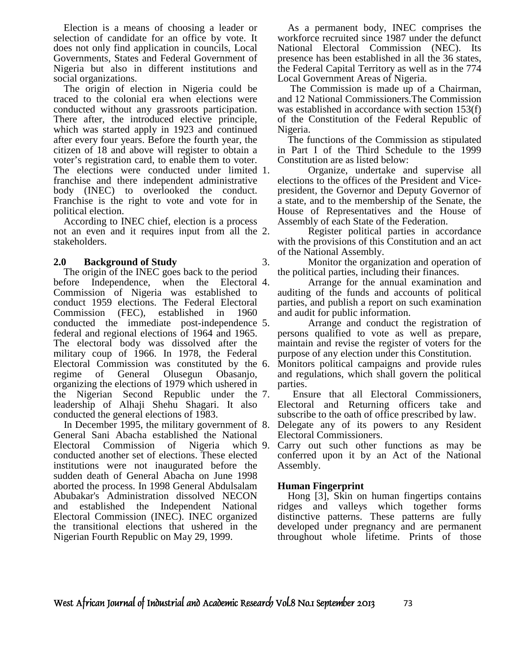Election is a means of choosing a leader or selection of candidate for an office by vote. It does not only find application in councils, Local Governments, States and Federal Government of Nigeria but also in different institutions and social organizations.

 The origin of election in Nigeria could be traced to the colonial era when elections were conducted without any grassroots participation. There after, the introduced elective principle, which was started apply in 1923 and continued after every four years. Before the fourth year, the citizen of 18 and above will register to obtain a voter's registration card, to enable them to voter. The elections were conducted under limited 1. franchise and there independent administrative body (INEC) to overlooked the conduct. Franchise is the right to vote and vote for in political election.

 According to INEC chief, election is a process not an even and it requires input from all the 2. stakeholders.

#### **2.0 Background of Study**

 The origin of the INEC goes back to the period before Independence, when the Electoral 4. Commission of Nigeria was established to conduct 1959 elections. The Federal Electoral Commission (FEC), established in 1960 conducted the immediate post-independence federal and regional elections of 1964 and 1965. The electoral body was dissolved after the military coup of 1966. In 1978, the Federal Electoral Commission was constituted by the 6. regime of General Olusegun Obasanjo, organizing the elections of 1979 which ushered in the Nigerian Second Republic under the leadership of Alhaji Shehu Shagari. It also conducted the general elections of 1983.

In December 1995, the military government of 8. General Sani Abacha established the National Electoral Commission of Nigeria which 9. conducted another set of elections. These elected institutions were not inaugurated before the sudden death of General Abacha on June 1998 aborted the process. In 1998 General Abdulsalam Abubakar's Administration dissolved NECON and established the Independent National Electoral Commission (INEC). INEC organized the transitional elections that ushered in the Nigerian Fourth Republic on May 29, 1999.

 As a permanent body, INEC comprises the workforce recruited since 1987 under the defunct National Electoral Commission (NEC). Its presence has been established in all the 36 states, the Federal Capital Territory as well as in the 774 Local Government Areas of Nigeria.

The Commission is made up of a Chairman, and 12 National Commissioners.The Commission was established in accordance with section 153(f) of the Constitution of the Federal Republic of Nigeria.

 The functions of the Commission as stipulated in Part I of the Third Schedule to the 1999 Constitution are as listed below:

Organize, undertake and supervise all elections to the offices of the President and Vicepresident, the Governor and Deputy Governor of a state, and to the membership of the Senate, the House of Representatives and the House of Assembly of each State of the Federation.

Register political parties in accordance with the provisions of this Constitution and an act of the National Assembly.

3. Monitor the organization and operation of the political parties, including their finances.

4. Arrange for the annual examination and auditing of the funds and accounts of political parties, and publish a report on such examination and audit for public information.

Arrange and conduct the registration of persons qualified to vote as well as prepare, maintain and revise the register of voters for the purpose of any election under this Constitution.

Monitors political campaigns and provide rules and regulations, which shall govern the political parties.

Ensure that all Electoral Commissioners, Electoral and Returning officers take and subscribe to the oath of office prescribed by law.

- Delegate any of its powers to any Resident Electoral Commissioners.
- Carry out such other functions as may be conferred upon it by an Act of the National Assembly.

#### **Human Fingerprint**

 Hong [3], Skin on human fingertips contains ridges and valleys which together forms distinctive patterns. These patterns are fully developed under pregnancy and are permanent throughout whole lifetime. Prints of those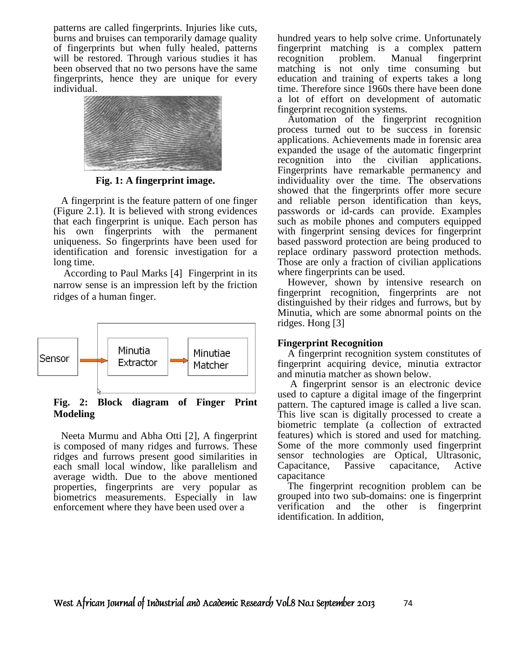patterns are called fingerprints. Injuries like cuts, burns and bruises can temporarily damage quality of fingerprints but when fully healed, patterns will be restored. Through various studies it has been observed that no two persons have the same fingerprints, hence they are unique for every individual.



**Fig. 1: A fingerprint image.** 

 A fingerprint is the feature pattern of one finger (Figure 2.1). It is believed with strong evidences that each fingerprint is unique. Each person has his own fingerprints with the permanent uniqueness. So fingerprints have been used for identification and forensic investigation for a long time.

 According to Paul Marks [4] Fingerprint in its narrow sense is an impression left by the friction ridges of a human finger.



**Fig. 2: Block diagram of Finger Print Modeling** 

 Neeta Murmu and Abha Otti [2], A fingerprint is composed of many ridges and furrows. These ridges and furrows present good similarities in each small local window, like parallelism and average width. Due to the above mentioned properties, fingerprints are very popular as biometrics measurements. Especially in law enforcement where they have been used over a

hundred years to help solve crime. Unfortunately fingerprint matching is a complex pattern recognition problem. Manual fingerprint matching is not only time consuming but education and training of experts takes a long time. Therefore since 1960s there have been done a lot of effort on development of automatic fingerprint recognition systems.

 Automation of the fingerprint recognition process turned out to be success in forensic applications. Achievements made in forensic area expanded the usage of the automatic fingerprint recognition into the civilian applications. Fingerprints have remarkable permanency and individuality over the time. The observations showed that the fingerprints offer more secure and reliable person identification than keys, passwords or id-cards can provide. Examples such as mobile phones and computers equipped with fingerprint sensing devices for fingerprint based password protection are being produced to replace ordinary password protection methods. Those are only a fraction of civilian applications where fingerprints can be used.

 However, shown by intensive research on fingerprint recognition, fingerprints are not distinguished by their ridges and furrows, but by Minutia, which are some abnormal points on the ridges. Hong [3]

#### **Fingerprint Recognition**

 A fingerprint recognition system constitutes of fingerprint acquiring device, minutia extractor and minutia matcher as shown below.

 A fingerprint sensor is an electronic device used to capture a digital image of the fingerprint pattern. The captured image is called a live scan. This live scan is digitally processed to create a biometric template (a collection of extracted features) which is stored and used for matching. Some of the more commonly used fingerprint sensor technologies are Optical, Ultrasonic, Capacitance, Passive capacitance, Active capacitance

 The fingerprint recognition problem can be grouped into two sub-domains: one is fingerprint verification and the other is fingerprint identification. In addition,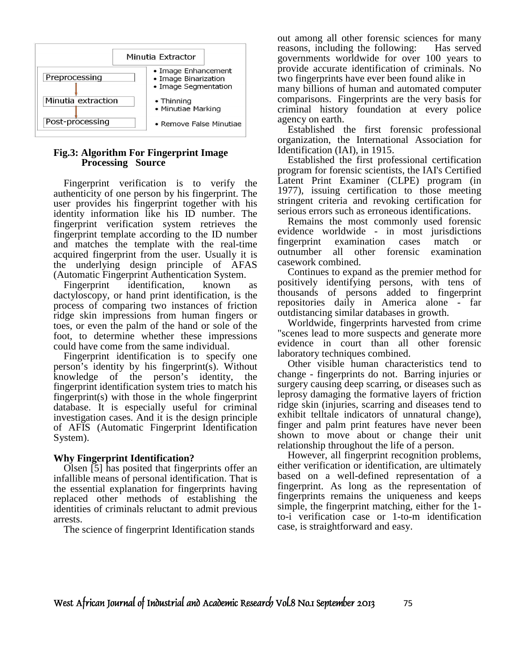

#### **Fig.3: Algorithm For Fingerprint Image Processing Source**

 Fingerprint verification is to verify the authenticity of one person by his fingerprint. The user provides his fingerprint together with his identity information like his ID number. The fingerprint verification system retrieves the fingerprint template according to the ID number and matches the template with the real-time acquired fingerprint from the user. Usually it is the underlying design principle of AFAS (Automatic Fingerprint Authentication System.

Fingerprint identification, known dactyloscopy, or hand print identification, is the process of comparing two instances of friction ridge skin impressions from human fingers or toes, or even the palm of the hand or sole of the foot, to determine whether these impressions could have come from the same individual.

 Fingerprint identification is to specify one person's identity by his fingerprint(s). Without knowledge of the person's identity, the fingerprint identification system tries to match his fingerprint(s) with those in the whole fingerprint database. It is especially useful for criminal investigation cases. And it is the design principle of AFIS (Automatic Fingerprint Identification System).

#### **Why Fingerprint Identification?**

 Olsen [5] has posited that fingerprints offer an infallible means of personal identification. That is the essential explanation for fingerprints having replaced other methods of establishing the identities of criminals reluctant to admit previous arrests.

The science of fingerprint Identification stands

out among all other forensic sciences for many reasons, including the following: Has served governments worldwide for over 100 years to provide accurate identification of criminals. No two fingerprints have ever been found alike in

many billions of human and automated computer comparisons. Fingerprints are the very basis for criminal history foundation at every police agency on earth.

 Established the first forensic professional organization, the International Association for Identification (IAI), in 1915.

 Established the first professional certification program for forensic scientists, the IAI's Certified Latent Print Examiner (CLPE) program (in 1977), issuing certification to those meeting stringent criteria and revoking certification for serious errors such as erroneous identifications.

 Remains the most commonly used forensic evidence worldwide - in most jurisdictions fingerprint examination cases match or outnumber all other forensic examination casework combined.

 Continues to expand as the premier method for positively identifying persons, with tens of thousands of persons added to fingerprint repositories daily in America alone - far outdistancing similar databases in growth.

 Worldwide, fingerprints harvested from crime "scenes lead to more suspects and generate more evidence in court than all other forensic laboratory techniques combined.

 Other visible human characteristics tend to change - fingerprints do not. Barring injuries or surgery causing deep scarring, or diseases such as leprosy damaging the formative layers of friction ridge skin (injuries, scarring and diseases tend to exhibit telltale indicators of unnatural change), finger and palm print features have never been shown to move about or change their unit relationship throughout the life of a person.

 However, all fingerprint recognition problems, either verification or identification, are ultimately based on a well-defined representation of a fingerprint. As long as the representation of fingerprints remains the uniqueness and keeps simple, the fingerprint matching, either for the 1 to-i verification case or 1-to-m identification case, is straightforward and easy.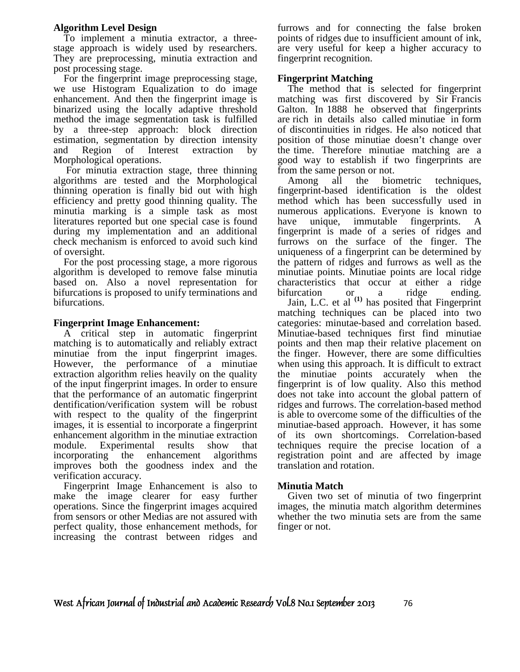#### **Algorithm Level Design**

 To implement a minutia extractor, a threestage approach is widely used by researchers. They are preprocessing, minutia extraction and post processing stage.

 For the fingerprint image preprocessing stage, we use Histogram Equalization to do image enhancement. And then the fingerprint image is binarized using the locally adaptive threshold method the image segmentation task is fulfilled by a three-step approach: block direction estimation, segmentation by direction intensity and Region of Interest extraction by Morphological operations.

 For minutia extraction stage, three thinning algorithms are tested and the Morphological thinning operation is finally bid out with high efficiency and pretty good thinning quality. The minutia marking is a simple task as most literatures reported but one special case is found during my implementation and an additional check mechanism is enforced to avoid such kind of oversight.

 For the post processing stage, a more rigorous algorithm is developed to remove false minutia based on. Also a novel representation for bifurcations is proposed to unify terminations and bifurcations.

#### **Fingerprint Image Enhancement:**

 A critical step in automatic fingerprint matching is to automatically and reliably extract minutiae from the input fingerprint images. However, the performance of a minutiae extraction algorithm relies heavily on the quality of the input fingerprint images. In order to ensure that the performance of an automatic fingerprint dentification/verification system will be robust with respect to the quality of the fingerprint images, it is essential to incorporate a fingerprint enhancement algorithm in the minutiae extraction module. Experimental results show that incorporating the enhancement algorithms improves both the goodness index and the verification accuracy.

 Fingerprint Image Enhancement is also to make the image clearer for easy further operations. Since the fingerprint images acquired from sensors or other Medias are not assured with perfect quality, those enhancement methods, for increasing the contrast between ridges and

furrows and for connecting the false broken points of ridges due to insufficient amount of ink, are very useful for keep a higher accuracy to fingerprint recognition.

#### **Fingerprint Matching**

 The method that is selected for fingerprint matching was first discovered by Sir Francis Galton. In 1888 he observed that fingerprints are rich in details also called minutiae in form of discontinuities in ridges. He also noticed that position of those minutiae doesn't change over the time. Therefore minutiae matching are a good way to establish if two fingerprints are from the same person or not.

 Among all the biometric techniques, fingerprint-based identification is the oldest method which has been successfully used in numerous applications. Everyone is known to have unique, immutable fingerprints. A fingerprint is made of a series of ridges and furrows on the surface of the finger. The uniqueness of a fingerprint can be determined by the pattern of ridges and furrows as well as the minutiae points. Minutiae points are local ridge characteristics that occur at either a ridge bifurcation or a ridge ending.

 Jain, L.C. et al **(1)** has posited that Fingerprint matching techniques can be placed into two categories: minutae-based and correlation based. Minutiae-based techniques first find minutiae points and then map their relative placement on the finger. However, there are some difficulties when using this approach. It is difficult to extract the minutiae points accurately when the fingerprint is of low quality. Also this method does not take into account the global pattern of ridges and furrows. The correlation-based method is able to overcome some of the difficulties of the minutiae-based approach. However, it has some of its own shortcomings. Correlation-based techniques require the precise location of a registration point and are affected by image translation and rotation.

#### **Minutia Match**

 Given two set of minutia of two fingerprint images, the minutia match algorithm determines whether the two minutia sets are from the same finger or not.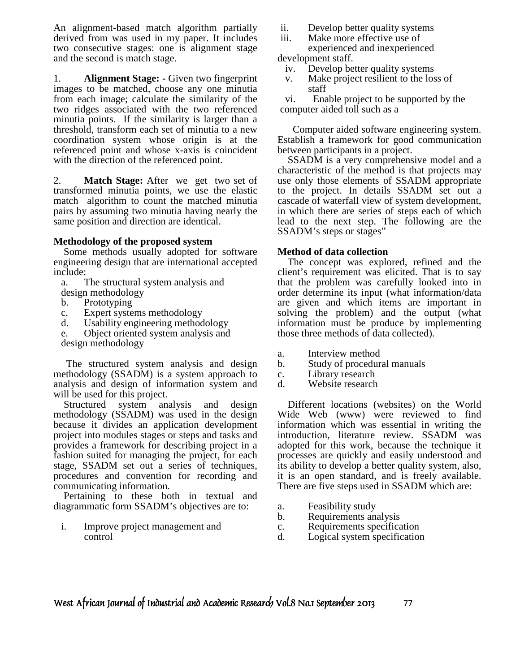An alignment-based match algorithm partially derived from was used in my paper. It includes two consecutive stages: one is alignment stage and the second is match stage.

1. **Alignment Stage: -** Given two fingerprint images to be matched, choose any one minutia from each image; calculate the similarity of the two ridges associated with the two referenced minutia points. If the similarity is larger than a threshold, transform each set of minutia to a new coordination system whose origin is at the referenced point and whose x-axis is coincident with the direction of the referenced point.

2. **Match Stage:** After we get two set of transformed minutia points, we use the elastic match algorithm to count the matched minutia pairs by assuming two minutia having nearly the same position and direction are identical.

#### **Methodology of the proposed system**

 Some methods usually adopted for software engineering design that are international accepted include:

- a. The structural system analysis and
- design methodology
- b. Prototyping
- c. Expert systems methodology
- d. Usability engineering methodology
- e. Object oriented system analysis and
- design methodology

 The structured system analysis and design methodology (SSADM) is a system approach to analysis and design of information system and will be used for this project.

 Structured system analysis and design methodology (SSADM) was used in the design because it divides an application development project into modules stages or steps and tasks and provides a framework for describing project in a fashion suited for managing the project, for each stage, SSADM set out a series of techniques, procedures and convention for recording and communicating information.

 Pertaining to these both in textual and diagrammatic form SSADM's objectives are to:

i. Improve project management and control

- ii. Develop better quality systems
- iii. Make more effective use of
- experienced and inexperienced development staff.
	- iv. Develop better quality systems
	- v. Make project resilient to the loss of staff

vi. Enable project to be supported by the computer aided toll such as a

Computer aided software engineering system. Establish a framework for good communication between participants in a project.

 SSADM is a very comprehensive model and a characteristic of the method is that projects may use only those elements of SSADM appropriate to the project. In details SSADM set out a cascade of waterfall view of system development, in which there are series of steps each of which lead to the next step. The following are the SSADM's steps or stages"

#### **Method of data collection**

 The concept was explored, refined and the client's requirement was elicited. That is to say that the problem was carefully looked into in order determine its input (what information/data are given and which items are important in solving the problem) and the output (what information must be produce by implementing those three methods of data collected).

- a. Interview method
- b. Study of procedural manuals
- c. Library research
- d. Website research

 Different locations (websites) on the World Wide Web (www) were reviewed to find information which was essential in writing the introduction, literature review. SSADM was adopted for this work, because the technique it processes are quickly and easily understood and its ability to develop a better quality system, also, it is an open standard, and is freely available. There are five steps used in SSADM which are:

- a. Feasibility study
- b. Requirements analysis
- c. Requirements specification
- d. Logical system specification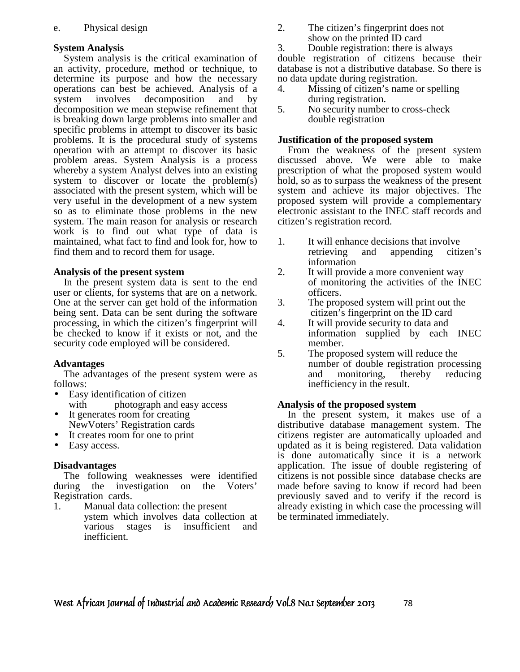#### **System Analysis**

 System analysis is the critical examination of an activity, procedure, method or technique, to determine its purpose and how the necessary operations can best be achieved. Analysis of a system involves decomposition and by decomposition we mean stepwise refinement that is breaking down large problems into smaller and specific problems in attempt to discover its basic problems. It is the procedural study of systems operation with an attempt to discover its basic problem areas. System Analysis is a process whereby a system Analyst delves into an existing system to discover or locate the problem(s) associated with the present system, which will be very useful in the development of a new system so as to eliminate those problems in the new system. The main reason for analysis or research work is to find out what type of data is maintained, what fact to find and look for, how to find them and to record them for usage.

#### **Analysis of the present system**

 In the present system data is sent to the end user or clients, for systems that are on a network. One at the server can get hold of the information being sent. Data can be sent during the software processing, in which the citizen's fingerprint will be checked to know if it exists or not, and the security code employed will be considered.

#### **Advantages**

 The advantages of the present system were as follows:

- Easy identification of citizen with photograph and easy access
- It generates room for creating NewVoters' Registration cards
- It creates room for one to print
- Easy access.

#### **Disadvantages**

 The following weaknesses were identified during the investigation on the Voters' Registration cards.

1. Manual data collection: the present ystem which involves data collection at various stages is insufficient and inefficient.

- 2. The citizen's fingerprint does not show on the printed ID card
- 3. Double registration: there is always

double registration of citizens because their database is not a distributive database. So there is no data update during registration.

- 4. Missing of citizen's name or spelling during registration.
- 5. No security number to cross-check double registration

## **Justification of the proposed system**

 From the weakness of the present system discussed above. We were able to make prescription of what the proposed system would hold, so as to surpass the weakness of the present system and achieve its major objectives. The proposed system will provide a complementary electronic assistant to the INEC staff records and citizen's registration record.

- 1. It will enhance decisions that involve retrieving and appending citizen's information
- 2. It will provide a more convenient way of monitoring the activities of the INEC officers.
- 3. The proposed system will print out the citizen's fingerprint on the ID card
- 4. It will provide security to data and information supplied by each INEC member.
- 5. The proposed system will reduce the number of double registration processing and monitoring, thereby reducing inefficiency in the result.

## **Analysis of the proposed system**

 In the present system, it makes use of a distributive database management system. The citizens register are automatically uploaded and updated as it is being registered. Data validation is done automatically since it is a network application. The issue of double registering of citizens is not possible since database checks are made before saving to know if record had been previously saved and to verify if the record is already existing in which case the processing will be terminated immediately.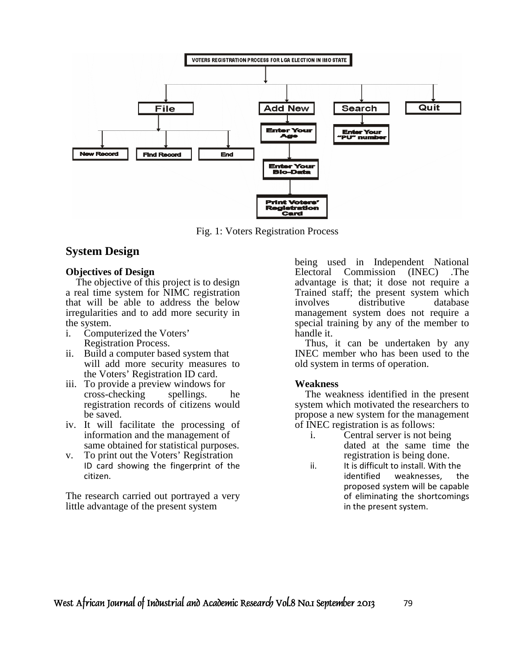

Fig. 1: Voters Registration Process

## **System Design**

#### **Objectives of Design**

 The objective of this project is to design a real time system for NIMC registration that will be able to address the below irregularities and to add more security in the system.

- i. Computerized the Voters'
- Registration Process.
- ii. Build a computer based system that will add more security measures to the Voters' Registration ID card.
- iii. To provide a preview windows for cross-checking spellings. he registration records of citizens would be saved.
- iv. It will facilitate the processing of information and the management of same obtained for statistical purposes.
- v. To print out the Voters' Registration ID card showing the fingerprint of the citizen.

The research carried out portrayed a very little advantage of the present system

being used in Independent National Electoral Commission (INEC) .The advantage is that; it dose not require a Trained staff; the present system which involves distributive database management system does not require a special training by any of the member to handle it.

 Thus, it can be undertaken by any INEC member who has been used to the old system in terms of operation.

#### **Weakness**

 The weakness identified in the present system which motivated the researchers to propose a new system for the management of INEC registration is as follows:

- i. Central server is not being dated at the same time the registration is being done.
- ii. It is difficult to install. With the identified weaknesses, the proposed system will be capable of eliminating the shortcomings in the present system.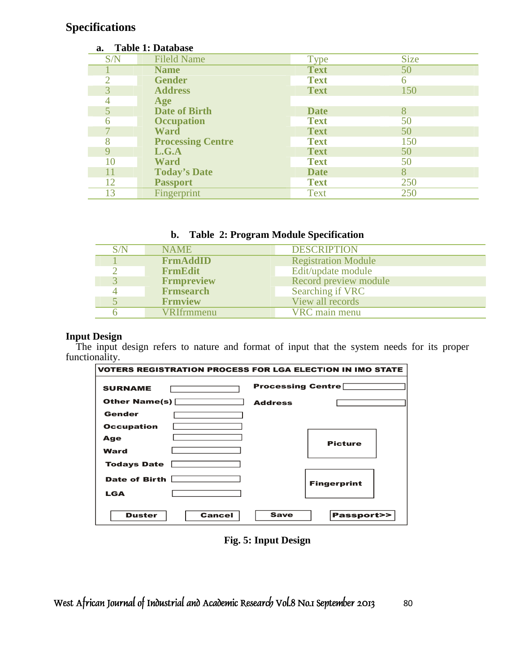# **Specifications**

| a.             | <b>Table 1: Database</b> |             |             |
|----------------|--------------------------|-------------|-------------|
| S/N            | <b>Fileld Name</b>       | Type        | <b>Size</b> |
|                | <b>Name</b>              | <b>Text</b> | 50          |
|                | <b>Gender</b>            | <b>Text</b> | 6           |
| 3              | <b>Address</b>           | <b>Text</b> | 150         |
|                | Age                      |             |             |
| $\overline{5}$ | <b>Date of Birth</b>     | <b>Date</b> | 8           |
| 6              | <b>Occupation</b>        | <b>Text</b> | 50          |
|                | <b>Ward</b>              | <b>Text</b> | 50          |
| 8              | <b>Processing Centre</b> | <b>Text</b> | 150         |
| 9              | L.G.A                    | <b>Text</b> | 50          |
| 10             | <b>Ward</b>              | <b>Text</b> | 50          |
| 11             | <b>Today's Date</b>      | <b>Date</b> | 8           |
| 12             | <b>Passport</b>          | <b>Text</b> | 250         |
| 13             | Fingerprint              | <b>Text</b> | 250         |

| b. |  | <b>Table 2: Program Module Specification</b> |
|----|--|----------------------------------------------|
|    |  |                                              |

| S/N | <b>NAME</b>       | <b>DESCRIPTION</b>         |
|-----|-------------------|----------------------------|
|     | <b>FrmAddID</b>   | <b>Registration Module</b> |
|     | <b>FrmEdit</b>    | Edit/update module         |
|     | <b>Frmpreview</b> | Record preview module      |
|     | <b>Frmsearch</b>  | Searching if VRC           |
|     | <b>Frmview</b>    | View all records           |
|     | <b>VRIfrmmenu</b> | VRC main menu              |

## **Input Design**

The input design refers to nature and format of input that the system needs for its proper functionality.

| <b>VOTERS REGISTRATION PROCESS FOR LGA ELECTION IN IMO STATE</b> |                |                          |  |
|------------------------------------------------------------------|----------------|--------------------------|--|
| <b>SURNAME</b>                                                   |                | <b>Processing Centre</b> |  |
| Other Name(s) $\Box$                                             | <b>Address</b> |                          |  |
| Gender                                                           |                |                          |  |
| <b>Occupation</b>                                                |                |                          |  |
| Age                                                              |                | <b>Picture</b>           |  |
| Ward                                                             |                |                          |  |
| <b>Todays Date</b>                                               |                |                          |  |
| <b>Date of Birth</b><br><b>LGA</b>                               |                | <b>Fingerprint</b>       |  |
|                                                                  |                |                          |  |
| <b>Cancel</b><br><b>Duster</b>                                   | <b>Save</b>    | <b>Passport&gt;&gt;</b>  |  |

**Fig. 5: Input Design**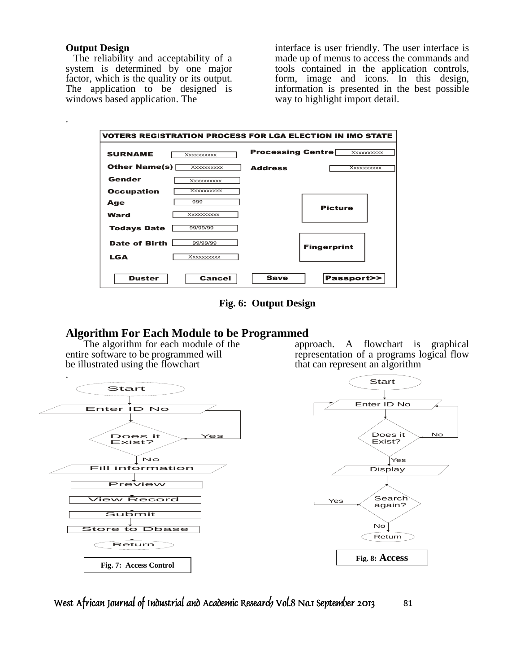#### **Output Design**

.

 The reliability and acceptability of a system is determined by one major factor, which is the quality or its output. The application to be designed is windows based application. The

interface is user friendly. The user interface is made up of menus to access the commands and tools contained in the application controls, form, image and icons. In this design, information is presented in the best possible way to highlight import detail.

| <b>SURNAME</b>       | Xxxxxxxxxx        | <b>Processing Centre</b> | Xxxxxxxxxx         |
|----------------------|-------------------|--------------------------|--------------------|
| <b>Other Name(s)</b> | XXXXXXXXX         | <b>Address</b>           | <b>Xxxxxxxxxx</b>  |
| Gender               | Xxxxxxxxxx        |                          |                    |
| <b>Occupation</b>    | Xxxxxxxxxx        |                          |                    |
| Age                  | 999               |                          | <b>Picture</b>     |
| <b>Ward</b>          | Xxxxxxxxxx        |                          |                    |
| <b>Todays Date</b>   | 99/99/99          |                          |                    |
| Date of Birth        | 99/99/99          |                          | <b>Fingerprint</b> |
| <b>LGA</b>           | <b>Xxxxxxxxxx</b> |                          |                    |

**Fig. 6: Output Design** 

## **Algorithm For Each Module to be Programmed**

 The algorithm for each module of the entire software to be programmed will be illustrated using the flowchart



approach. A flowchart is graphical representation of a programs logical flow that can represent an algorithm

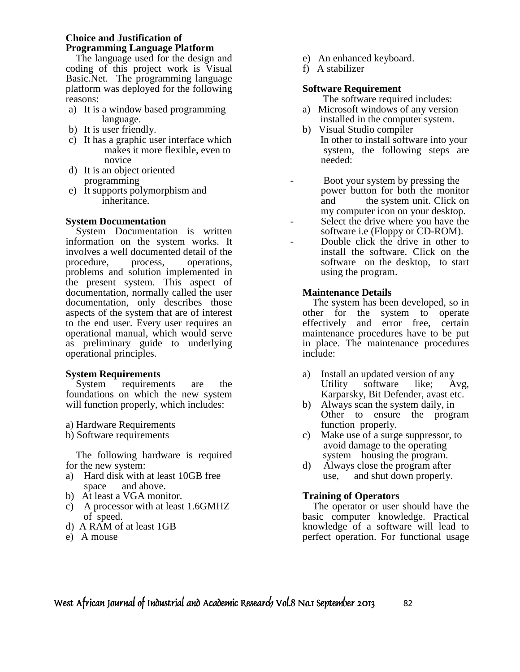### **Choice and Justification of Programming Language Platform**

 The language used for the design and coding of this project work is Visual Basic.Net. The programming language platform was deployed for the following reasons:

- a) It is a window based programming language.
- b) It is user friendly.
- c) It has a graphic user interface which makes it more flexible, even to novice
- d) It is an object oriented programming
- e) It supports polymorphism and inheritance.

## **System Documentation**

 System Documentation is written information on the system works. It involves a well documented detail of the procedure, process, operations, problems and solution implemented in the present system. This aspect of documentation, normally called the user documentation, only describes those aspects of the system that are of interest to the end user. Every user requires an operational manual, which would serve as preliminary guide to underlying operational principles.

#### **System Requirements**

 System requirements are the foundations on which the new system will function properly, which includes:

- a) Hardware Requirements
- b) Software requirements

 The following hardware is required for the new system:

- a) Hard disk with at least 10GB free space and above.
- b) At least a VGA monitor.
- c) A processor with at least 1.6GMHZ of speed.
- d) A RAM of at least 1GB
- e) A mouse
- e) An enhanced keyboard.
- f) A stabilizer

### **Software Requirement**

- The software required includes: a) Microsoft windows of any version
- installed in the computer system.
- b) Visual Studio compiler In other to install software into your system, the following steps are needed:
- Boot your system by pressing the power button for both the monitor and the system unit. Click on my computer icon on your desktop.
- Select the drive where you have the software i.e (Floppy or CD-ROM).
- Double click the drive in other to install the software. Click on the software on the desktop, to start using the program.

## **Maintenance Details**

 The system has been developed, so in other for the system to operate effectively and error free, certain maintenance procedures have to be put in place. The maintenance procedures include:

- a) Install an updated version of any Utility software like; Avg, Karparsky, Bit Defender, avast etc.
- b) Always scan the system daily, in Other to ensure the program function properly.
- c) Make use of a surge suppressor, to avoid damage to the operating system housing the program.
- d) Always close the program after use, and shut down properly.

#### **Training of Operators**

 The operator or user should have the basic computer knowledge. Practical knowledge of a software will lead to perfect operation. For functional usage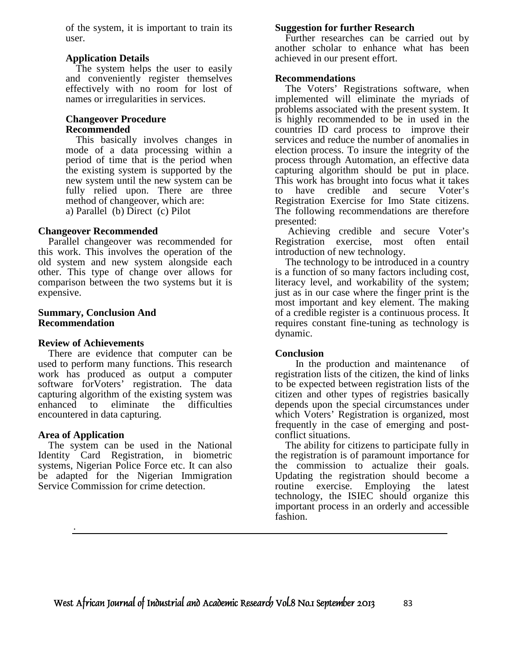of the system, it is important to train its user.

#### **Application Details**

 The system helps the user to easily and conveniently register themselves effectively with no room for lost of names or irregularities in services.

#### **Changeover Procedure Recommended**

 This basically involves changes in mode of a data processing within a period of time that is the period when the existing system is supported by the new system until the new system can be fully relied upon. There are three method of changeover, which are: a) Parallel (b) Direct (c) Pilot

#### **Changeover Recommended**

 Parallel changeover was recommended for this work. This involves the operation of the old system and new system alongside each other. This type of change over allows for comparison between the two systems but it is expensive.

#### **Summary, Conclusion And Recommendation**

#### **Review of Achievements**

 There are evidence that computer can be used to perform many functions. This research work has produced as output a computer software for Voters' registration. The data capturing algorithm of the existing system was enhanced to eliminate the difficulties encountered in data capturing.

#### **Area of Application**

.

 The system can be used in the National Identity Card Registration, in biometric systems, Nigerian Police Force etc. It can also be adapted for the Nigerian Immigration Service Commission for crime detection.

#### **Suggestion for further Research**

 Further researches can be carried out by another scholar to enhance what has been achieved in our present effort.

#### **Recommendations**

 The Voters' Registrations software, when implemented will eliminate the myriads of problems associated with the present system. It is highly recommended to be in used in the countries ID card process to improve their services and reduce the number of anomalies in election process. To insure the integrity of the process through Automation, an effective data capturing algorithm should be put in place. This work has brought into focus what it takes to have credible and secure Voter's Registration Exercise for Imo State citizens. The following recommendations are therefore presented:

 Achieving credible and secure Voter's Registration exercise, most often entail introduction of new technology.

 The technology to be introduced in a country is a function of so many factors including cost, literacy level, and workability of the system; just as in our case where the finger print is the most important and key element. The making of a credible register is a continuous process. It requires constant fine-tuning as technology is dynamic.

#### **Conclusion**

 In the production and maintenance of registration lists of the citizen, the kind of links to be expected between registration lists of the citizen and other types of registries basically depends upon the special circumstances under which Voters' Registration is organized, most frequently in the case of emerging and postconflict situations.

 The ability for citizens to participate fully in the registration is of paramount importance for the commission to actualize their goals. Updating the registration should become a routine exercise. Employing the latest technology, the ISIEC should organize this important process in an orderly and accessible fashion.